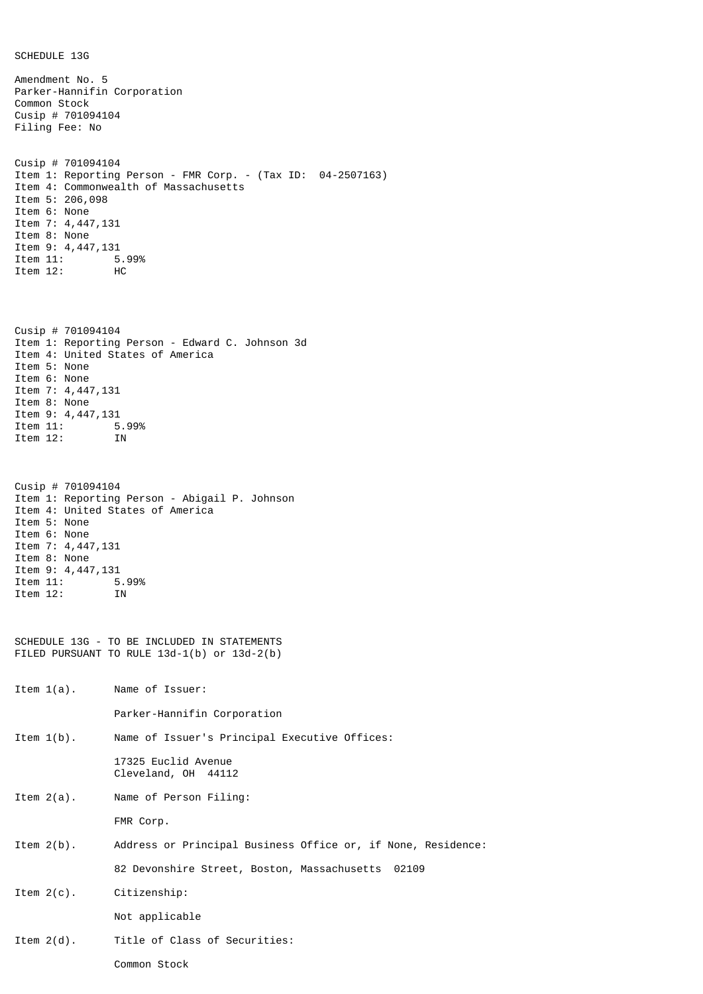SCHEDULE 13G

Amendment No. 5 Parker-Hannifin Corporation Common Stock Cusip # 701094104 Filing Fee: No Cusip # 701094104 Item 1: Reporting Person - FMR Corp. - (Tax ID: 04-2507163) Item 4: Commonwealth of Massachusetts Item 5: 206,098 Item 6: None Item 7: 4,447,131 Item 8: None Item 9: 4,447,131<br>Item 11: 5 5.99% Item 12: HC Cusip # 701094104 Item 1: Reporting Person - Edward C. Johnson 3d Item 4: United States of America Item 5: None Item 6: None Item 7: 4,447,131 Item 8: None Item 9: 4,447,131 Item 11: 5.99% Item 12: IN Cusip # 701094104 Item 1: Reporting Person - Abigail P. Johnson Item 4: United States of America Item 5: None Item 6: None Item 7: 4,447,131 Item 8: None Item 9: 4,447,131<br>Item 11: 5.99% Item 11: Item 12: IN SCHEDULE 13G - TO BE INCLUDED IN STATEMENTS FILED PURSUANT TO RULE 13d-1(b) or 13d-2(b) Item 1(a). Name of Issuer: Parker-Hannifin Corporation Item 1(b). Name of Issuer's Principal Executive Offices: 17325 Euclid Avenue Cleveland, OH 44112 Item 2(a). Name of Person Filing: FMR Corp. Item 2(b). Address or Principal Business Office or, if None, Residence: 82 Devonshire Street, Boston, Massachusetts 02109 Item 2(c). Citizenship: Not applicable Item 2(d). Title of Class of Securities: Common Stock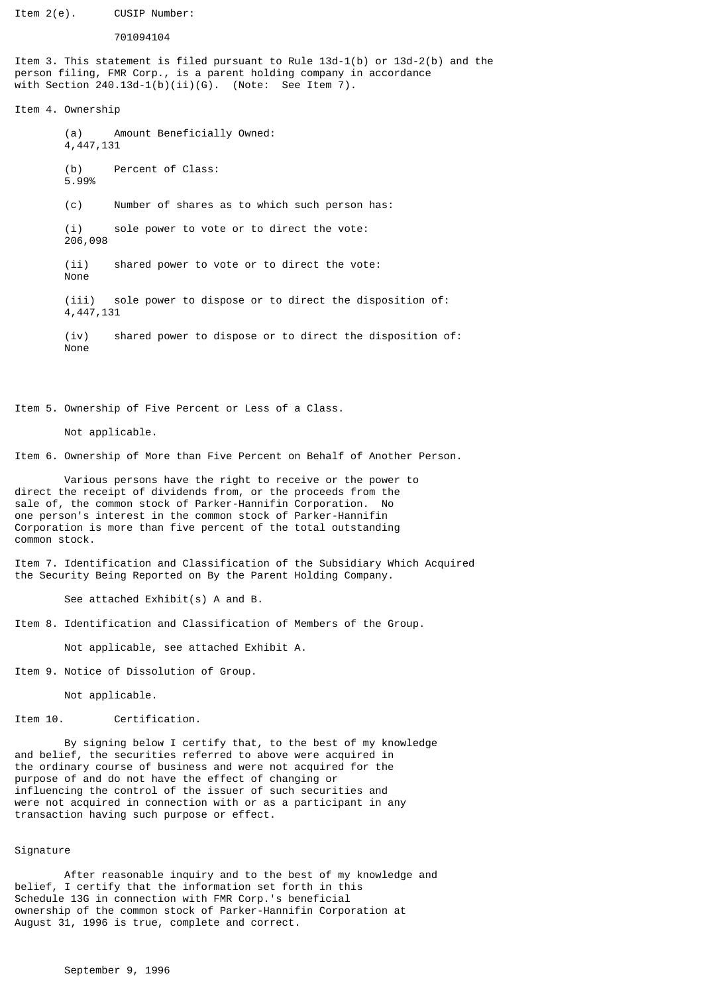Item 2(e). CUSIP Number:

## 701094104

Item 3. This statement is filed pursuant to Rule 13d-1(b) or 13d-2(b) and the person filing, FMR Corp., is a parent holding company in accordance with Section 240.13d-1(b)(ii)(G). (Note: See Item 7).

Item 4. Ownership

(a) Amount Beneficially Owned: 4,447,131 (b) Percent of Class: 5.99% (c) Number of shares as to which such person has: (i) sole power to vote or to direct the vote: 206,098 (ii) shared power to vote or to direct the vote: None (iii) sole power to dispose or to direct the disposition of:

(iv) shared power to dispose or to direct the disposition of: None

Item 5. Ownership of Five Percent or Less of a Class.

Not applicable.

4,447,131

Item 6. Ownership of More than Five Percent on Behalf of Another Person.

Various persons have the right to receive or the power to direct the receipt of dividends from, or the proceeds from the sale of, the common stock of Parker-Hannifin Corporation. No one person's interest in the common stock of Parker-Hannifin Corporation is more than five percent of the total outstanding common stock.

Item 7. Identification and Classification of the Subsidiary Which Acquired the Security Being Reported on By the Parent Holding Company.

See attached Exhibit(s) A and B.

Item 8. Identification and Classification of Members of the Group.

Not applicable, see attached Exhibit A.

Item 9. Notice of Dissolution of Group.

Not applicable.

Item 10. Certification.

By signing below I certify that, to the best of my knowledge and belief, the securities referred to above were acquired in the ordinary course of business and were not acquired for the purpose of and do not have the effect of changing or influencing the control of the issuer of such securities and were not acquired in connection with or as a participant in any transaction having such purpose or effect.

## Signature

After reasonable inquiry and to the best of my knowledge and belief, I certify that the information set forth in this Schedule 13G in connection with FMR Corp.'s beneficial ownership of the common stock of Parker-Hannifin Corporation at August 31, 1996 is true, complete and correct.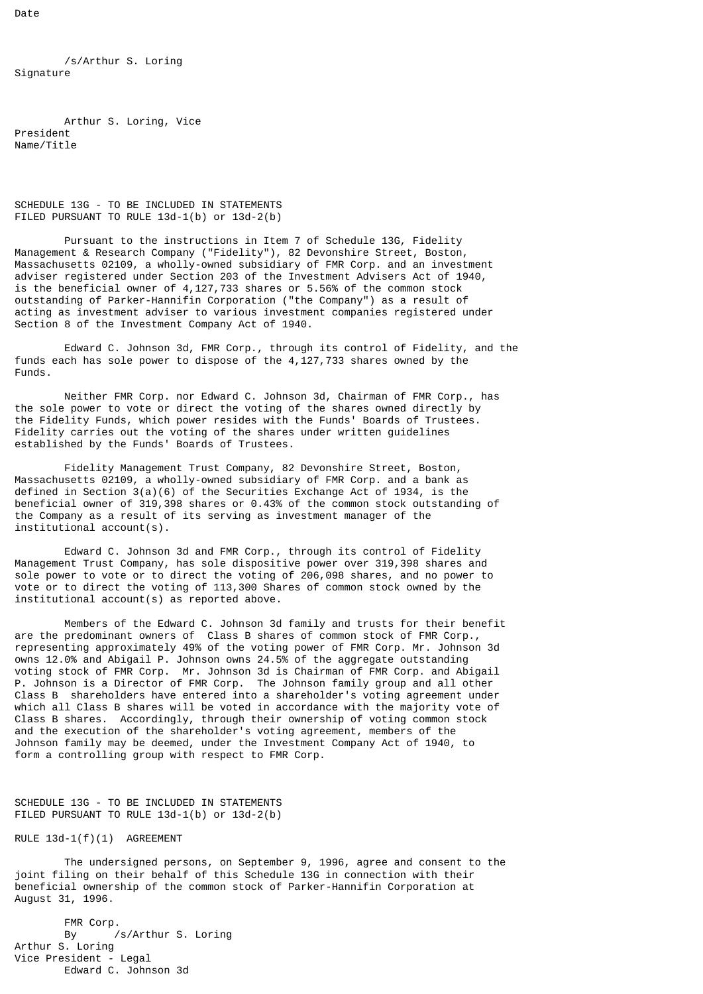Date

/s/Arthur S. Loring Signature

Arthur S. Loring, Vice President Name/Title

SCHEDULE 13G - TO BE INCLUDED IN STATEMENTS FILED PURSUANT TO RULE 13d-1(b) or 13d-2(b)

Pursuant to the instructions in Item 7 of Schedule 13G, Fidelity Management & Research Company ("Fidelity"), 82 Devonshire Street, Boston, Massachusetts 02109, a wholly-owned subsidiary of FMR Corp. and an investment adviser registered under Section 203 of the Investment Advisers Act of 1940, is the beneficial owner of 4,127,733 shares or 5.56% of the common stock outstanding of Parker-Hannifin Corporation ("the Company") as a result of acting as investment adviser to various investment companies registered under Section 8 of the Investment Company Act of 1940.

Edward C. Johnson 3d, FMR Corp., through its control of Fidelity, and the funds each has sole power to dispose of the 4,127,733 shares owned by the Funds.

Neither FMR Corp. nor Edward C. Johnson 3d, Chairman of FMR Corp., has the sole power to vote or direct the voting of the shares owned directly by the Fidelity Funds, which power resides with the Funds' Boards of Trustees. Fidelity carries out the voting of the shares under written guidelines established by the Funds' Boards of Trustees.

Fidelity Management Trust Company, 82 Devonshire Street, Boston, Massachusetts 02109, a wholly-owned subsidiary of FMR Corp. and a bank as defined in Section  $3(a)(6)$  of the Securities Exchange Act of 1934, is the beneficial owner of 319,398 shares or 0.43% of the common stock outstanding of the Company as a result of its serving as investment manager of the institutional account(s).

Edward C. Johnson 3d and FMR Corp., through its control of Fidelity Management Trust Company, has sole dispositive power over 319,398 shares and sole power to vote or to direct the voting of 206,098 shares, and no power to vote or to direct the voting of 113,300 Shares of common stock owned by the institutional account(s) as reported above.

Members of the Edward C. Johnson 3d family and trusts for their benefit are the predominant owners of Class B shares of common stock of FMR Corp., representing approximately 49% of the voting power of FMR Corp. Mr. Johnson 3d owns 12.0% and Abigail P. Johnson owns 24.5% of the aggregate outstanding voting stock of FMR Corp. Mr. Johnson 3d is Chairman of FMR Corp. and Abigail P. Johnson is a Director of FMR Corp. The Johnson family group and all other Class B shareholders have entered into a shareholder's voting agreement under which all Class B shares will be voted in accordance with the majority vote of Class B shares. Accordingly, through their ownership of voting common stock and the execution of the shareholder's voting agreement, members of the Johnson family may be deemed, under the Investment Company Act of 1940, to form a controlling group with respect to FMR Corp.

SCHEDULE 13G - TO BE INCLUDED IN STATEMENTS FILED PURSUANT TO RULE 13d-1(b) or 13d-2(b)

RULE 13d-1(f)(1) AGREEMENT

The undersigned persons, on September 9, 1996, agree and consent to the joint filing on their behalf of this Schedule 13G in connection with their beneficial ownership of the common stock of Parker-Hannifin Corporation at August 31, 1996.

FMR Corp. By /s/Arthur S. Loring Arthur S. Loring Vice President - Legal Edward C. Johnson 3d